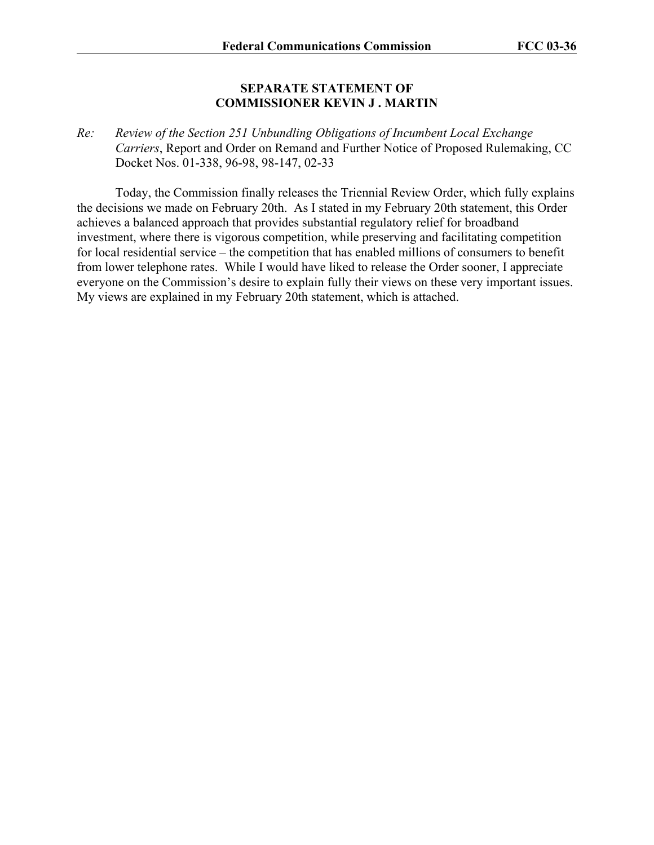#### **SEPARATE STATEMENT OF COMMISSIONER KEVIN J . MARTIN**

*Re: Review of the Section 251 Unbundling Obligations of Incumbent Local Exchange Carriers*, Report and Order on Remand and Further Notice of Proposed Rulemaking, CC Docket Nos. 01-338, 96-98, 98-147, 02-33

 Today, the Commission finally releases the Triennial Review Order, which fully explains the decisions we made on February 20th. As I stated in my February 20th statement, this Order achieves a balanced approach that provides substantial regulatory relief for broadband investment, where there is vigorous competition, while preserving and facilitating competition for local residential service – the competition that has enabled millions of consumers to benefit from lower telephone rates. While I would have liked to release the Order sooner, I appreciate everyone on the Commission's desire to explain fully their views on these very important issues. My views are explained in my February 20th statement, which is attached.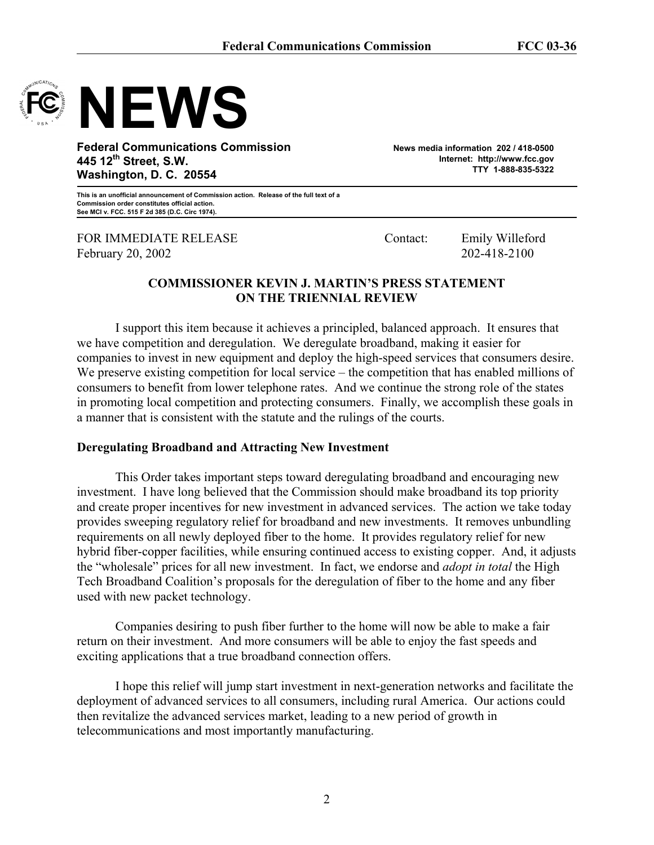

# **NEWS**

**Federal Communications Commission 445 12th Street, S.W. Washington, D. C. 20554** 

**News media information 202 / 418-0500 Internet: http://www.fcc.gov TTY 1-888-835-5322** 

**This is an unofficial announcement of Commission action. Release of the full text of a Commission order constitutes official action. See MCI v. FCC. 515 F 2d 385 (D.C. Circ 1974).** 

FOR IMMEDIATE RELEASE Contact: Emily Willeford February 20, 2002 202-418-2100

## **COMMISSIONER KEVIN J. MARTIN'S PRESS STATEMENT ON THE TRIENNIAL REVIEW**

 I support this item because it achieves a principled, balanced approach. It ensures that we have competition and deregulation. We deregulate broadband, making it easier for companies to invest in new equipment and deploy the high-speed services that consumers desire. We preserve existing competition for local service – the competition that has enabled millions of consumers to benefit from lower telephone rates. And we continue the strong role of the states in promoting local competition and protecting consumers. Finally, we accomplish these goals in a manner that is consistent with the statute and the rulings of the courts.

## **Deregulating Broadband and Attracting New Investment**

 This Order takes important steps toward deregulating broadband and encouraging new investment. I have long believed that the Commission should make broadband its top priority and create proper incentives for new investment in advanced services. The action we take today provides sweeping regulatory relief for broadband and new investments. It removes unbundling requirements on all newly deployed fiber to the home. It provides regulatory relief for new hybrid fiber-copper facilities, while ensuring continued access to existing copper. And, it adjusts the "wholesale" prices for all new investment. In fact, we endorse and *adopt in total* the High Tech Broadband Coalition's proposals for the deregulation of fiber to the home and any fiber used with new packet technology.

Companies desiring to push fiber further to the home will now be able to make a fair return on their investment. And more consumers will be able to enjoy the fast speeds and exciting applications that a true broadband connection offers.

I hope this relief will jump start investment in next-generation networks and facilitate the deployment of advanced services to all consumers, including rural America. Our actions could then revitalize the advanced services market, leading to a new period of growth in telecommunications and most importantly manufacturing.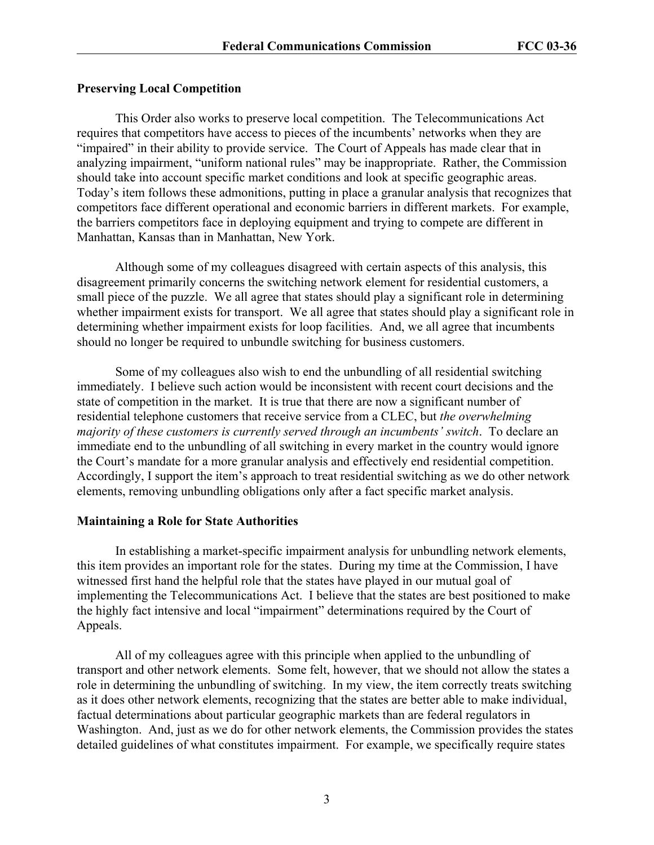#### **Preserving Local Competition**

 This Order also works to preserve local competition. The Telecommunications Act requires that competitors have access to pieces of the incumbents' networks when they are "impaired" in their ability to provide service. The Court of Appeals has made clear that in analyzing impairment, "uniform national rules" may be inappropriate. Rather, the Commission should take into account specific market conditions and look at specific geographic areas. Today's item follows these admonitions, putting in place a granular analysis that recognizes that competitors face different operational and economic barriers in different markets. For example, the barriers competitors face in deploying equipment and trying to compete are different in Manhattan, Kansas than in Manhattan, New York.

 Although some of my colleagues disagreed with certain aspects of this analysis, this disagreement primarily concerns the switching network element for residential customers, a small piece of the puzzle. We all agree that states should play a significant role in determining whether impairment exists for transport. We all agree that states should play a significant role in determining whether impairment exists for loop facilities. And, we all agree that incumbents should no longer be required to unbundle switching for business customers.

Some of my colleagues also wish to end the unbundling of all residential switching immediately. I believe such action would be inconsistent with recent court decisions and the state of competition in the market. It is true that there are now a significant number of residential telephone customers that receive service from a CLEC, but *the overwhelming majority of these customers is currently served through an incumbents' switch*. To declare an immediate end to the unbundling of all switching in every market in the country would ignore the Court's mandate for a more granular analysis and effectively end residential competition. Accordingly, I support the item's approach to treat residential switching as we do other network elements, removing unbundling obligations only after a fact specific market analysis.

#### **Maintaining a Role for State Authorities**

 In establishing a market-specific impairment analysis for unbundling network elements, this item provides an important role for the states. During my time at the Commission, I have witnessed first hand the helpful role that the states have played in our mutual goal of implementing the Telecommunications Act. I believe that the states are best positioned to make the highly fact intensive and local "impairment" determinations required by the Court of Appeals.

 All of my colleagues agree with this principle when applied to the unbundling of transport and other network elements. Some felt, however, that we should not allow the states a role in determining the unbundling of switching. In my view, the item correctly treats switching as it does other network elements, recognizing that the states are better able to make individual, factual determinations about particular geographic markets than are federal regulators in Washington. And, just as we do for other network elements, the Commission provides the states detailed guidelines of what constitutes impairment. For example, we specifically require states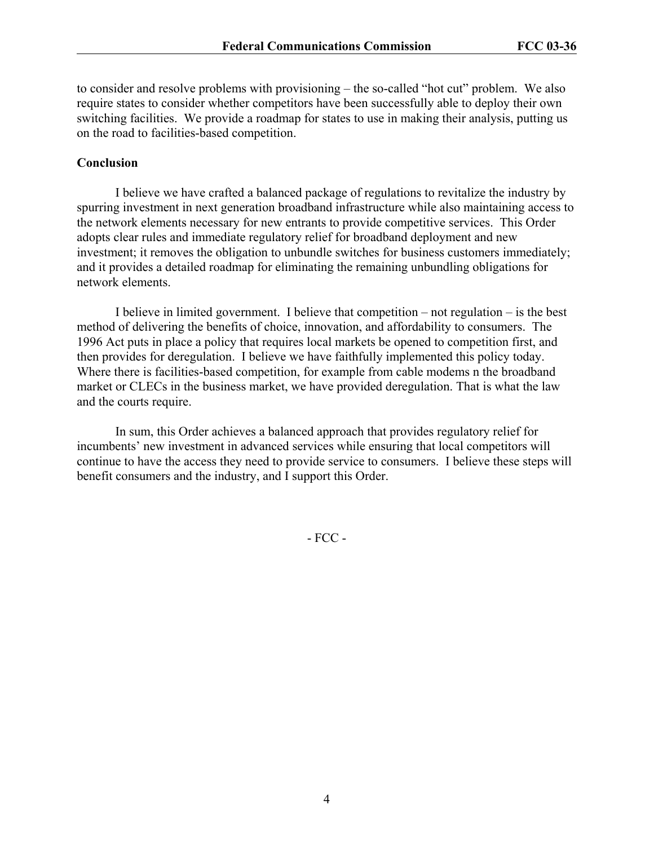to consider and resolve problems with provisioning – the so-called "hot cut" problem. We also require states to consider whether competitors have been successfully able to deploy their own switching facilities. We provide a roadmap for states to use in making their analysis, putting us on the road to facilities-based competition.

#### **Conclusion**

 I believe we have crafted a balanced package of regulations to revitalize the industry by spurring investment in next generation broadband infrastructure while also maintaining access to the network elements necessary for new entrants to provide competitive services. This Order adopts clear rules and immediate regulatory relief for broadband deployment and new investment; it removes the obligation to unbundle switches for business customers immediately; and it provides a detailed roadmap for eliminating the remaining unbundling obligations for network elements.

I believe in limited government. I believe that competition – not regulation – is the best method of delivering the benefits of choice, innovation, and affordability to consumers. The 1996 Act puts in place a policy that requires local markets be opened to competition first, and then provides for deregulation. I believe we have faithfully implemented this policy today. Where there is facilities-based competition, for example from cable modems n the broadband market or CLECs in the business market, we have provided deregulation. That is what the law and the courts require.

In sum, this Order achieves a balanced approach that provides regulatory relief for incumbents' new investment in advanced services while ensuring that local competitors will continue to have the access they need to provide service to consumers. I believe these steps will benefit consumers and the industry, and I support this Order.

- FCC -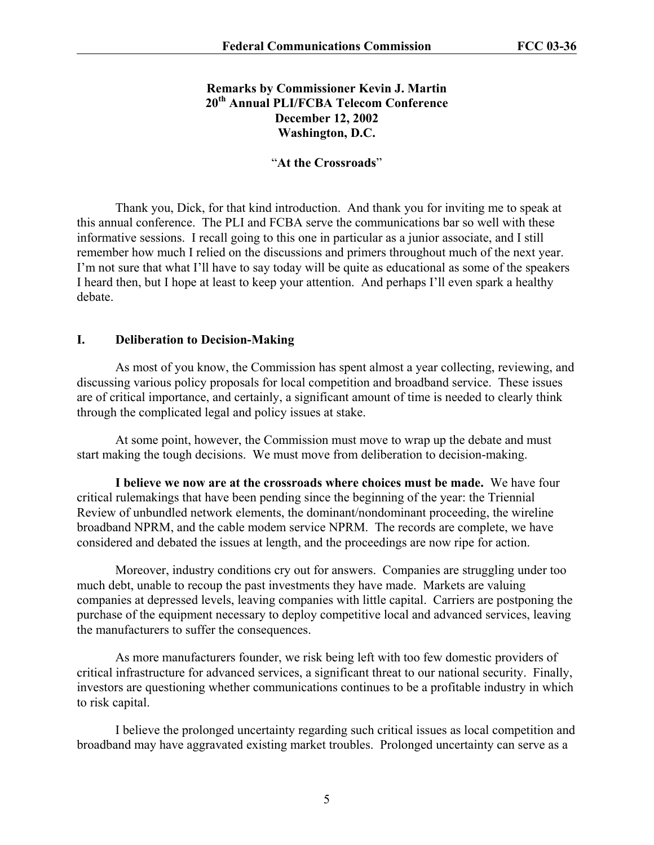## **Remarks by Commissioner Kevin J. Martin 20th Annual PLI/FCBA Telecom Conference December 12, 2002 Washington, D.C.**

#### "**At the Crossroads**"

Thank you, Dick, for that kind introduction. And thank you for inviting me to speak at this annual conference. The PLI and FCBA serve the communications bar so well with these informative sessions. I recall going to this one in particular as a junior associate, and I still remember how much I relied on the discussions and primers throughout much of the next year. I'm not sure that what I'll have to say today will be quite as educational as some of the speakers I heard then, but I hope at least to keep your attention. And perhaps I'll even spark a healthy debate.

#### **I. Deliberation to Decision-Making**

As most of you know, the Commission has spent almost a year collecting, reviewing, and discussing various policy proposals for local competition and broadband service. These issues are of critical importance, and certainly, a significant amount of time is needed to clearly think through the complicated legal and policy issues at stake.

At some point, however, the Commission must move to wrap up the debate and must start making the tough decisions. We must move from deliberation to decision-making.

**I believe we now are at the crossroads where choices must be made.** We have four critical rulemakings that have been pending since the beginning of the year: the Triennial Review of unbundled network elements, the dominant/nondominant proceeding, the wireline broadband NPRM, and the cable modem service NPRM. The records are complete, we have considered and debated the issues at length, and the proceedings are now ripe for action.

Moreover, industry conditions cry out for answers. Companies are struggling under too much debt, unable to recoup the past investments they have made. Markets are valuing companies at depressed levels, leaving companies with little capital. Carriers are postponing the purchase of the equipment necessary to deploy competitive local and advanced services, leaving the manufacturers to suffer the consequences.

As more manufacturers founder, we risk being left with too few domestic providers of critical infrastructure for advanced services, a significant threat to our national security. Finally, investors are questioning whether communications continues to be a profitable industry in which to risk capital.

I believe the prolonged uncertainty regarding such critical issues as local competition and broadband may have aggravated existing market troubles. Prolonged uncertainty can serve as a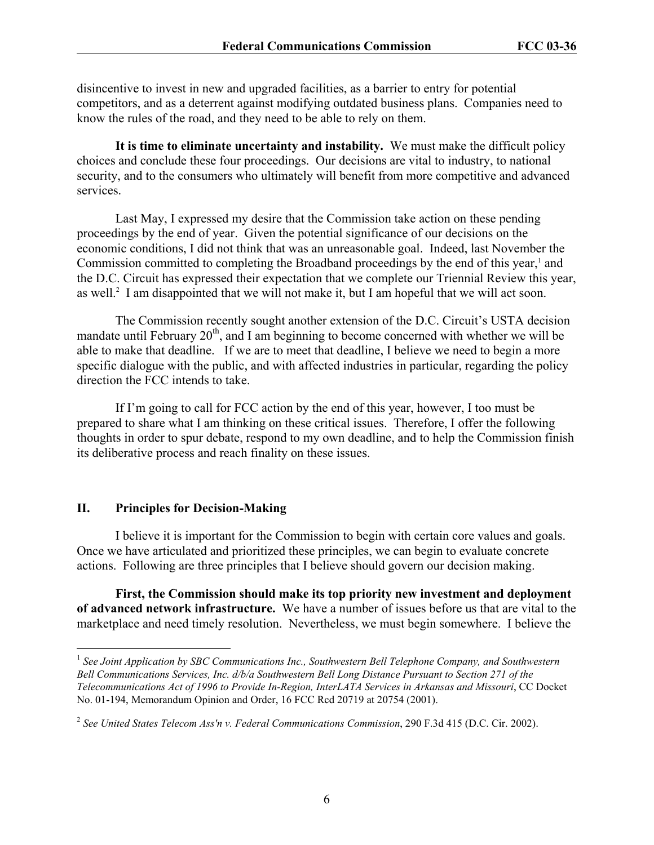disincentive to invest in new and upgraded facilities, as a barrier to entry for potential competitors, and as a deterrent against modifying outdated business plans. Companies need to know the rules of the road, and they need to be able to rely on them.

**It is time to eliminate uncertainty and instability.** We must make the difficult policy choices and conclude these four proceedings. Our decisions are vital to industry, to national security, and to the consumers who ultimately will benefit from more competitive and advanced services.

Last May, I expressed my desire that the Commission take action on these pending proceedings by the end of year. Given the potential significance of our decisions on the economic conditions, I did not think that was an unreasonable goal. Indeed, last November the Commission committed to completing the Broadband proceedings by the end of this year,<sup>1</sup> and the D.C. Circuit has expressed their expectation that we complete our Triennial Review this year, as well.<sup>2</sup> I am disappointed that we will not make it, but I am hopeful that we will act soon.

The Commission recently sought another extension of the D.C. Circuit's USTA decision mandate until February  $20<sup>th</sup>$ , and I am beginning to become concerned with whether we will be able to make that deadline. If we are to meet that deadline, I believe we need to begin a more specific dialogue with the public, and with affected industries in particular, regarding the policy direction the FCC intends to take.

If I'm going to call for FCC action by the end of this year, however, I too must be prepared to share what I am thinking on these critical issues. Therefore, I offer the following thoughts in order to spur debate, respond to my own deadline, and to help the Commission finish its deliberative process and reach finality on these issues.

#### **II. Principles for Decision-Making**

 $\overline{a}$ 

I believe it is important for the Commission to begin with certain core values and goals. Once we have articulated and prioritized these principles, we can begin to evaluate concrete actions. Following are three principles that I believe should govern our decision making.

**First, the Commission should make its top priority new investment and deployment of advanced network infrastructure.** We have a number of issues before us that are vital to the marketplace and need timely resolution. Nevertheless, we must begin somewhere. I believe the

<sup>1</sup> *See Joint Application by SBC Communications Inc., Southwestern Bell Telephone Company, and Southwestern Bell Communications Services, Inc. d/b/a Southwestern Bell Long Distance Pursuant to Section 271 of the Telecommunications Act of 1996 to Provide In-Region, InterLATA Services in Arkansas and Missouri*, CC Docket No. 01-194, Memorandum Opinion and Order, 16 FCC Rcd 20719 at 20754 (2001).

<sup>2</sup> *See United States Telecom Ass'n v. Federal Communications Commission*, 290 F.3d 415 (D.C. Cir. 2002).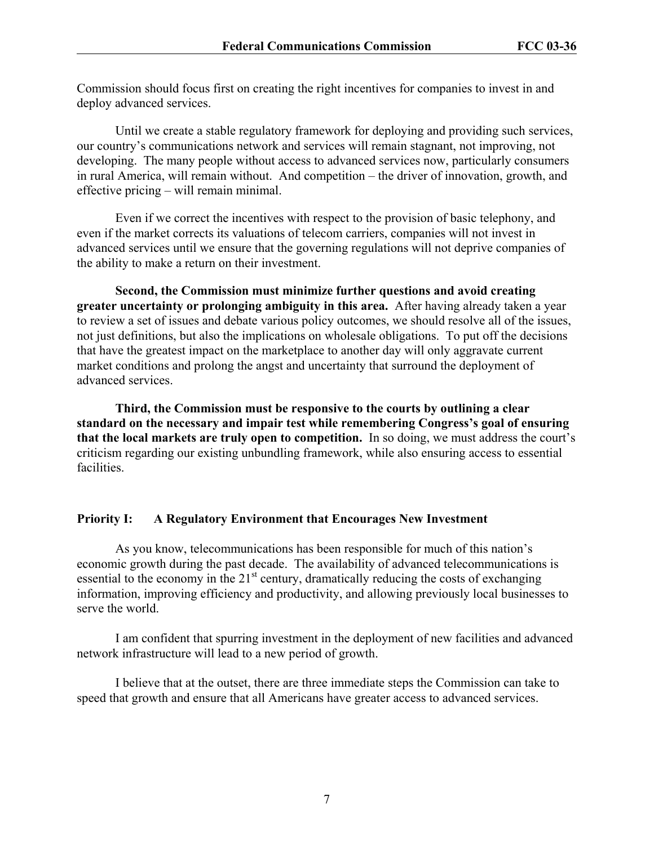Commission should focus first on creating the right incentives for companies to invest in and deploy advanced services.

Until we create a stable regulatory framework for deploying and providing such services, our country's communications network and services will remain stagnant, not improving, not developing. The many people without access to advanced services now, particularly consumers in rural America, will remain without. And competition – the driver of innovation, growth, and effective pricing – will remain minimal.

Even if we correct the incentives with respect to the provision of basic telephony, and even if the market corrects its valuations of telecom carriers, companies will not invest in advanced services until we ensure that the governing regulations will not deprive companies of the ability to make a return on their investment.

**Second, the Commission must minimize further questions and avoid creating greater uncertainty or prolonging ambiguity in this area.** After having already taken a year to review a set of issues and debate various policy outcomes, we should resolve all of the issues, not just definitions, but also the implications on wholesale obligations. To put off the decisions that have the greatest impact on the marketplace to another day will only aggravate current market conditions and prolong the angst and uncertainty that surround the deployment of advanced services.

**Third, the Commission must be responsive to the courts by outlining a clear standard on the necessary and impair test while remembering Congress's goal of ensuring that the local markets are truly open to competition.** In so doing, we must address the court's criticism regarding our existing unbundling framework, while also ensuring access to essential facilities.

## **Priority I: A Regulatory Environment that Encourages New Investment**

As you know, telecommunications has been responsible for much of this nation's economic growth during the past decade. The availability of advanced telecommunications is essential to the economy in the  $21<sup>st</sup>$  century, dramatically reducing the costs of exchanging information, improving efficiency and productivity, and allowing previously local businesses to serve the world.

I am confident that spurring investment in the deployment of new facilities and advanced network infrastructure will lead to a new period of growth.

I believe that at the outset, there are three immediate steps the Commission can take to speed that growth and ensure that all Americans have greater access to advanced services.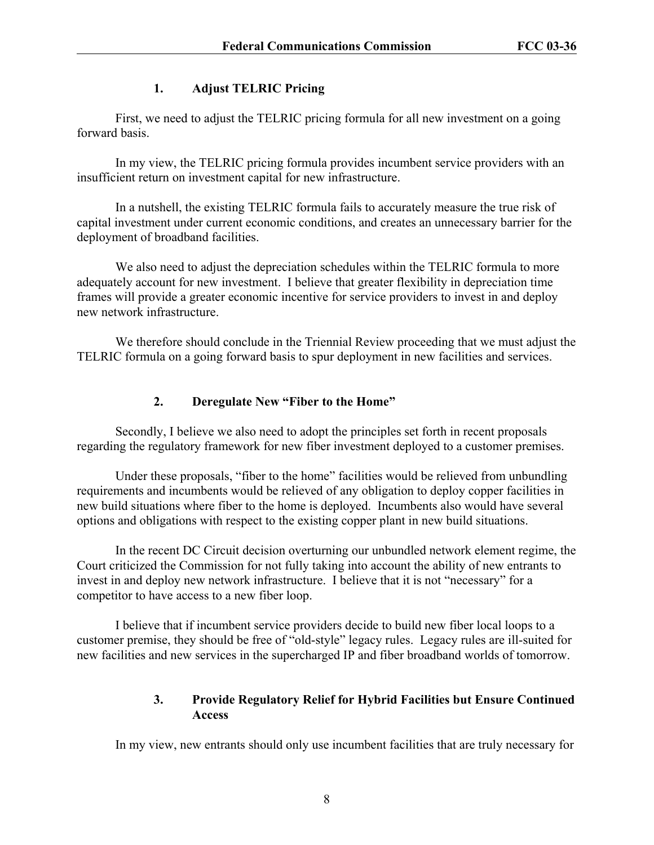## **1. Adjust TELRIC Pricing**

First, we need to adjust the TELRIC pricing formula for all new investment on a going forward basis.

In my view, the TELRIC pricing formula provides incumbent service providers with an insufficient return on investment capital for new infrastructure.

In a nutshell, the existing TELRIC formula fails to accurately measure the true risk of capital investment under current economic conditions, and creates an unnecessary barrier for the deployment of broadband facilities.

We also need to adjust the depreciation schedules within the TELRIC formula to more adequately account for new investment. I believe that greater flexibility in depreciation time frames will provide a greater economic incentive for service providers to invest in and deploy new network infrastructure.

We therefore should conclude in the Triennial Review proceeding that we must adjust the TELRIC formula on a going forward basis to spur deployment in new facilities and services.

## **2. Deregulate New "Fiber to the Home"**

Secondly, I believe we also need to adopt the principles set forth in recent proposals regarding the regulatory framework for new fiber investment deployed to a customer premises.

Under these proposals, "fiber to the home" facilities would be relieved from unbundling requirements and incumbents would be relieved of any obligation to deploy copper facilities in new build situations where fiber to the home is deployed. Incumbents also would have several options and obligations with respect to the existing copper plant in new build situations.

In the recent DC Circuit decision overturning our unbundled network element regime, the Court criticized the Commission for not fully taking into account the ability of new entrants to invest in and deploy new network infrastructure. I believe that it is not "necessary" for a competitor to have access to a new fiber loop.

I believe that if incumbent service providers decide to build new fiber local loops to a customer premise, they should be free of "old-style" legacy rules. Legacy rules are ill-suited for new facilities and new services in the supercharged IP and fiber broadband worlds of tomorrow.

## **3. Provide Regulatory Relief for Hybrid Facilities but Ensure Continued Access**

In my view, new entrants should only use incumbent facilities that are truly necessary for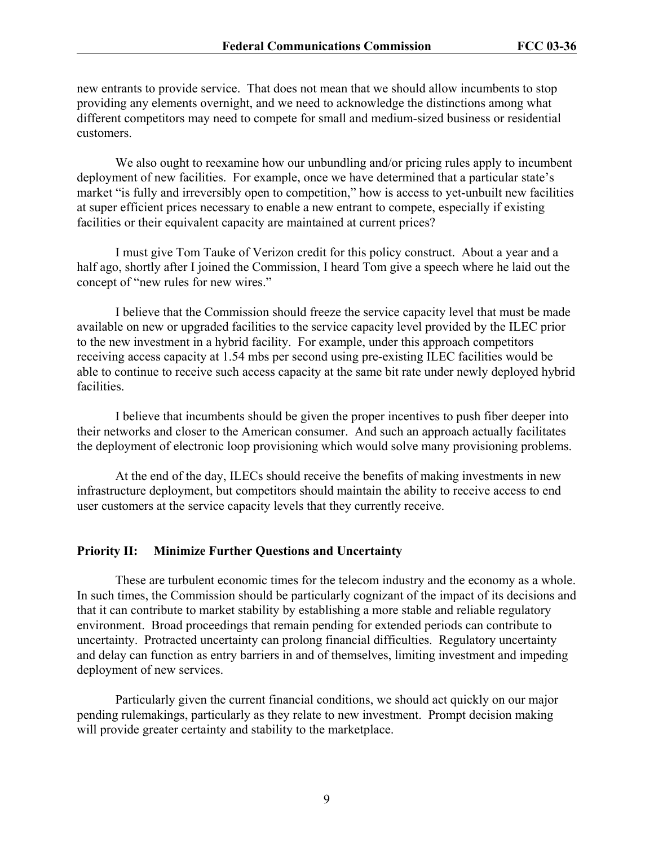new entrants to provide service. That does not mean that we should allow incumbents to stop providing any elements overnight, and we need to acknowledge the distinctions among what different competitors may need to compete for small and medium-sized business or residential customers.

We also ought to reexamine how our unbundling and/or pricing rules apply to incumbent deployment of new facilities. For example, once we have determined that a particular state's market "is fully and irreversibly open to competition," how is access to yet-unbuilt new facilities at super efficient prices necessary to enable a new entrant to compete, especially if existing facilities or their equivalent capacity are maintained at current prices?

I must give Tom Tauke of Verizon credit for this policy construct. About a year and a half ago, shortly after I joined the Commission, I heard Tom give a speech where he laid out the concept of "new rules for new wires."

I believe that the Commission should freeze the service capacity level that must be made available on new or upgraded facilities to the service capacity level provided by the ILEC prior to the new investment in a hybrid facility. For example, under this approach competitors receiving access capacity at 1.54 mbs per second using pre-existing ILEC facilities would be able to continue to receive such access capacity at the same bit rate under newly deployed hybrid facilities.

I believe that incumbents should be given the proper incentives to push fiber deeper into their networks and closer to the American consumer. And such an approach actually facilitates the deployment of electronic loop provisioning which would solve many provisioning problems.

At the end of the day, ILECs should receive the benefits of making investments in new infrastructure deployment, but competitors should maintain the ability to receive access to end user customers at the service capacity levels that they currently receive.

#### **Priority II: Minimize Further Questions and Uncertainty**

These are turbulent economic times for the telecom industry and the economy as a whole. In such times, the Commission should be particularly cognizant of the impact of its decisions and that it can contribute to market stability by establishing a more stable and reliable regulatory environment. Broad proceedings that remain pending for extended periods can contribute to uncertainty. Protracted uncertainty can prolong financial difficulties. Regulatory uncertainty and delay can function as entry barriers in and of themselves, limiting investment and impeding deployment of new services.

Particularly given the current financial conditions, we should act quickly on our major pending rulemakings, particularly as they relate to new investment. Prompt decision making will provide greater certainty and stability to the marketplace.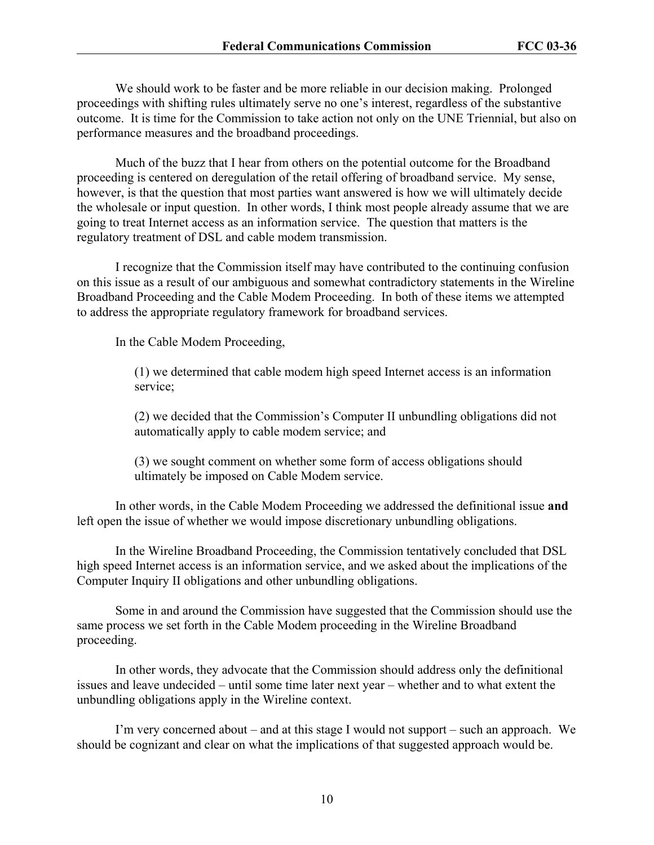We should work to be faster and be more reliable in our decision making. Prolonged proceedings with shifting rules ultimately serve no one's interest, regardless of the substantive outcome. It is time for the Commission to take action not only on the UNE Triennial, but also on performance measures and the broadband proceedings.

Much of the buzz that I hear from others on the potential outcome for the Broadband proceeding is centered on deregulation of the retail offering of broadband service. My sense, however, is that the question that most parties want answered is how we will ultimately decide the wholesale or input question. In other words, I think most people already assume that we are going to treat Internet access as an information service. The question that matters is the regulatory treatment of DSL and cable modem transmission.

I recognize that the Commission itself may have contributed to the continuing confusion on this issue as a result of our ambiguous and somewhat contradictory statements in the Wireline Broadband Proceeding and the Cable Modem Proceeding. In both of these items we attempted to address the appropriate regulatory framework for broadband services.

In the Cable Modem Proceeding,

(1) we determined that cable modem high speed Internet access is an information service;

(2) we decided that the Commission's Computer II unbundling obligations did not automatically apply to cable modem service; and

(3) we sought comment on whether some form of access obligations should ultimately be imposed on Cable Modem service.

In other words, in the Cable Modem Proceeding we addressed the definitional issue **and** left open the issue of whether we would impose discretionary unbundling obligations.

In the Wireline Broadband Proceeding, the Commission tentatively concluded that DSL high speed Internet access is an information service, and we asked about the implications of the Computer Inquiry II obligations and other unbundling obligations.

Some in and around the Commission have suggested that the Commission should use the same process we set forth in the Cable Modem proceeding in the Wireline Broadband proceeding.

In other words, they advocate that the Commission should address only the definitional issues and leave undecided – until some time later next year – whether and to what extent the unbundling obligations apply in the Wireline context.

I'm very concerned about – and at this stage I would not support – such an approach. We should be cognizant and clear on what the implications of that suggested approach would be.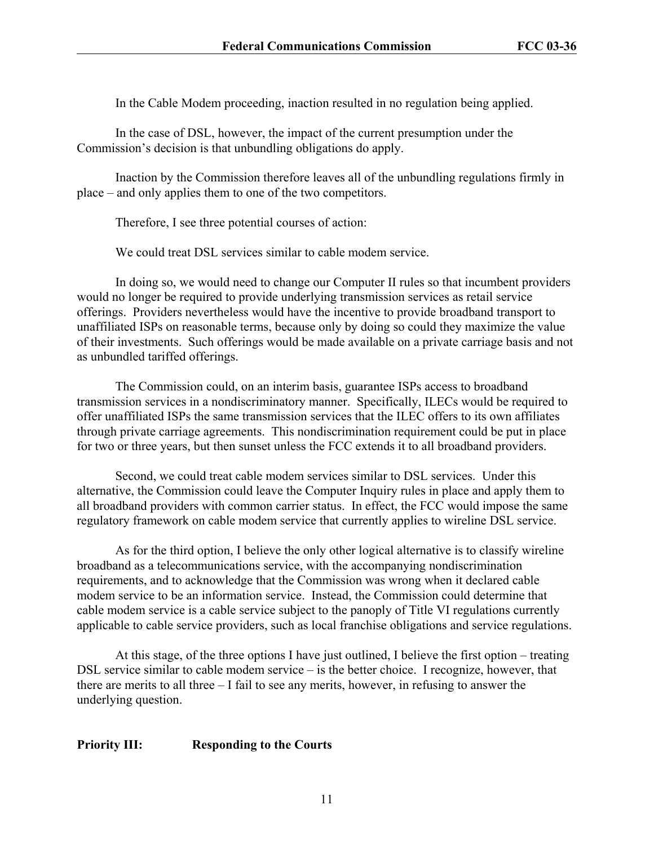In the Cable Modem proceeding, inaction resulted in no regulation being applied.

In the case of DSL, however, the impact of the current presumption under the Commission's decision is that unbundling obligations do apply.

Inaction by the Commission therefore leaves all of the unbundling regulations firmly in place – and only applies them to one of the two competitors.

Therefore, I see three potential courses of action:

We could treat DSL services similar to cable modem service.

In doing so, we would need to change our Computer II rules so that incumbent providers would no longer be required to provide underlying transmission services as retail service offerings. Providers nevertheless would have the incentive to provide broadband transport to unaffiliated ISPs on reasonable terms, because only by doing so could they maximize the value of their investments. Such offerings would be made available on a private carriage basis and not as unbundled tariffed offerings.

The Commission could, on an interim basis, guarantee ISPs access to broadband transmission services in a nondiscriminatory manner. Specifically, ILECs would be required to offer unaffiliated ISPs the same transmission services that the ILEC offers to its own affiliates through private carriage agreements. This nondiscrimination requirement could be put in place for two or three years, but then sunset unless the FCC extends it to all broadband providers.

Second, we could treat cable modem services similar to DSL services. Under this alternative, the Commission could leave the Computer Inquiry rules in place and apply them to all broadband providers with common carrier status. In effect, the FCC would impose the same regulatory framework on cable modem service that currently applies to wireline DSL service.

As for the third option, I believe the only other logical alternative is to classify wireline broadband as a telecommunications service, with the accompanying nondiscrimination requirements, and to acknowledge that the Commission was wrong when it declared cable modem service to be an information service. Instead, the Commission could determine that cable modem service is a cable service subject to the panoply of Title VI regulations currently applicable to cable service providers, such as local franchise obligations and service regulations.

At this stage, of the three options I have just outlined, I believe the first option – treating DSL service similar to cable modem service – is the better choice. I recognize, however, that there are merits to all three – I fail to see any merits, however, in refusing to answer the underlying question.

## **Priority III: Responding to the Courts**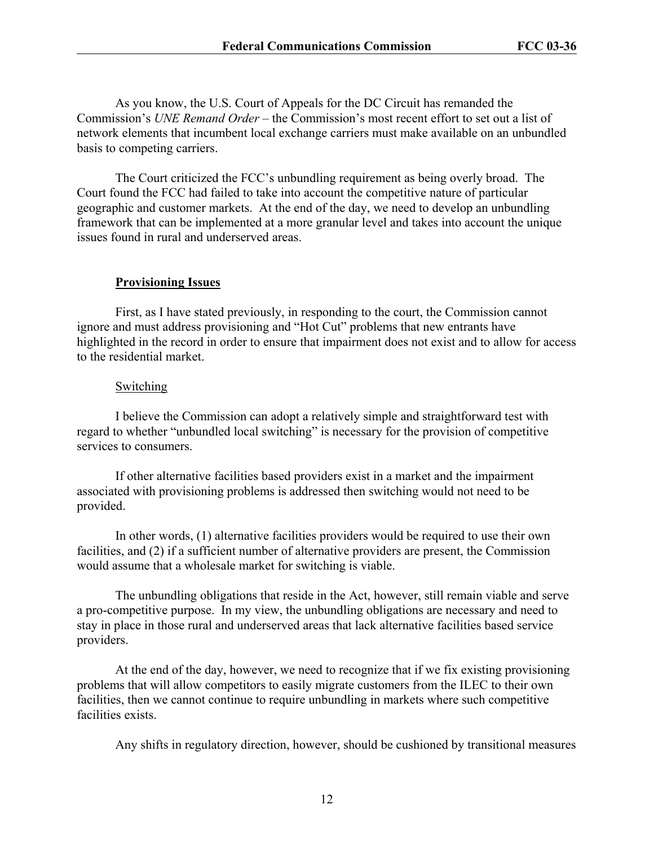As you know, the U.S. Court of Appeals for the DC Circuit has remanded the Commission's *UNE Remand Order* – the Commission's most recent effort to set out a list of network elements that incumbent local exchange carriers must make available on an unbundled basis to competing carriers.

The Court criticized the FCC's unbundling requirement as being overly broad. The Court found the FCC had failed to take into account the competitive nature of particular geographic and customer markets. At the end of the day, we need to develop an unbundling framework that can be implemented at a more granular level and takes into account the unique issues found in rural and underserved areas.

#### **Provisioning Issues**

First, as I have stated previously, in responding to the court, the Commission cannot ignore and must address provisioning and "Hot Cut" problems that new entrants have highlighted in the record in order to ensure that impairment does not exist and to allow for access to the residential market.

#### **Switching**

I believe the Commission can adopt a relatively simple and straightforward test with regard to whether "unbundled local switching" is necessary for the provision of competitive services to consumers.

If other alternative facilities based providers exist in a market and the impairment associated with provisioning problems is addressed then switching would not need to be provided.

In other words, (1) alternative facilities providers would be required to use their own facilities, and (2) if a sufficient number of alternative providers are present, the Commission would assume that a wholesale market for switching is viable.

The unbundling obligations that reside in the Act, however, still remain viable and serve a pro-competitive purpose. In my view, the unbundling obligations are necessary and need to stay in place in those rural and underserved areas that lack alternative facilities based service providers.

At the end of the day, however, we need to recognize that if we fix existing provisioning problems that will allow competitors to easily migrate customers from the ILEC to their own facilities, then we cannot continue to require unbundling in markets where such competitive facilities exists.

Any shifts in regulatory direction, however, should be cushioned by transitional measures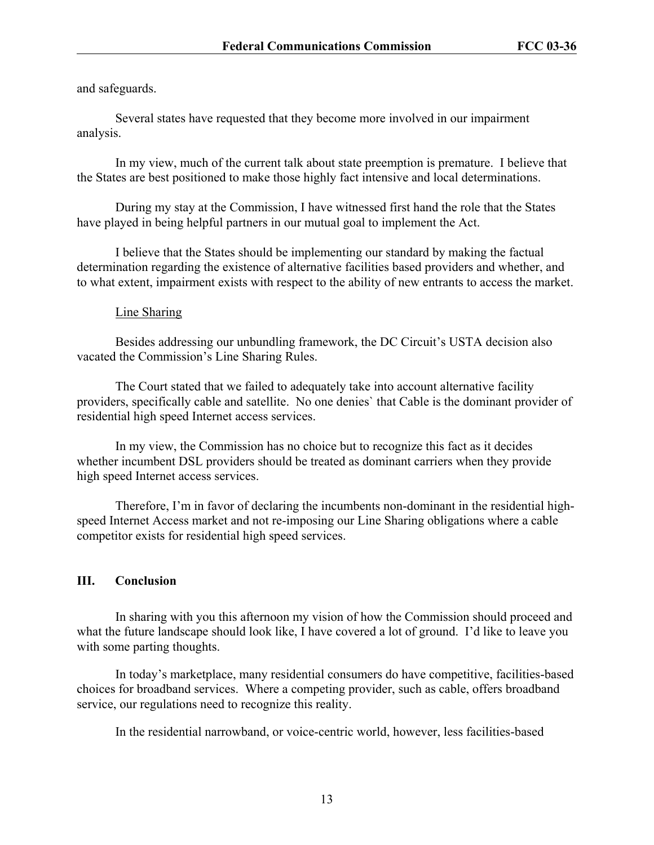and safeguards.

Several states have requested that they become more involved in our impairment analysis.

In my view, much of the current talk about state preemption is premature. I believe that the States are best positioned to make those highly fact intensive and local determinations.

During my stay at the Commission, I have witnessed first hand the role that the States have played in being helpful partners in our mutual goal to implement the Act.

I believe that the States should be implementing our standard by making the factual determination regarding the existence of alternative facilities based providers and whether, and to what extent, impairment exists with respect to the ability of new entrants to access the market.

#### Line Sharing

Besides addressing our unbundling framework, the DC Circuit's USTA decision also vacated the Commission's Line Sharing Rules.

The Court stated that we failed to adequately take into account alternative facility providers, specifically cable and satellite. No one denies` that Cable is the dominant provider of residential high speed Internet access services.

In my view, the Commission has no choice but to recognize this fact as it decides whether incumbent DSL providers should be treated as dominant carriers when they provide high speed Internet access services.

Therefore, I'm in favor of declaring the incumbents non-dominant in the residential highspeed Internet Access market and not re-imposing our Line Sharing obligations where a cable competitor exists for residential high speed services.

## **III. Conclusion**

In sharing with you this afternoon my vision of how the Commission should proceed and what the future landscape should look like, I have covered a lot of ground. I'd like to leave you with some parting thoughts.

In today's marketplace, many residential consumers do have competitive, facilities-based choices for broadband services. Where a competing provider, such as cable, offers broadband service, our regulations need to recognize this reality.

In the residential narrowband, or voice-centric world, however, less facilities-based